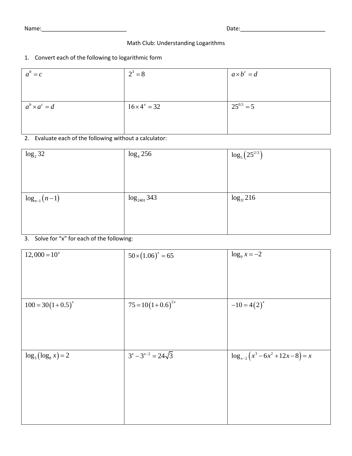Name:\_\_\_\_\_\_\_\_\_\_\_\_\_\_\_\_\_\_\_\_\_\_\_\_\_\_\_ Date:\_\_\_\_\_\_\_\_\_\_\_\_\_\_\_\_\_\_\_\_\_\_\_\_\_\_\_

## Math Club: Understanding Logarithms

## 1. Convert each of the following to logarithmic form

| $2^3 = 8$            | $a\times b^c = d$ |
|----------------------|-------------------|
|                      |                   |
|                      |                   |
| $16 \times 4^x = 32$ | $25^{0.5} = 5$    |
|                      |                   |
|                      |                   |
|                      |                   |

2. Evaluate each of the following without a calculator:

| $\log_2 32$      | $log_4 256$      | $\log_5(25^{2/3})$ |
|------------------|------------------|--------------------|
|                  |                  |                    |
|                  |                  |                    |
|                  |                  |                    |
| $log_{n-1}(n-1)$ | $log_{2401} 343$ | $log_{3!} 216$     |
|                  |                  |                    |
|                  |                  |                    |
|                  |                  |                    |

3. Solve for "x" for each of the following:

| $12,000 = 10^{x}$      | $50 \times (1.06)^{x} = 65$ | $\log_9 x = -2$                         |
|------------------------|-----------------------------|-----------------------------------------|
| $100 = 30(1+0.5)^{x}$  | $75 = 10(1+0.6)^{2x}$       | $-10=4(2)^{x}$                          |
| $\log_3(\log_8 x) = 2$ | $3^{x}-3^{x-2}=24\sqrt{3}$  | $\log_{x-2} (x^3 - 6x^2 + 12x - 8) = x$ |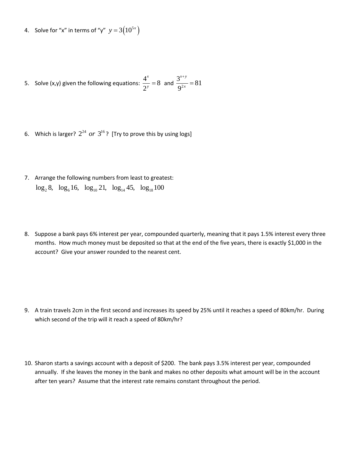4. Solve for "x" in terms of "y"  $y = 3(10^{5x})$ 

5. Solve (x,y) given the following equations:  $\frac{4^x}{2^x} = 8$ 2 *x*  $\frac{1}{y}$  = 8 and  $\frac{3}{0^2}$  $\frac{3^{x+y}}{2^{x}} = 81$ 9  $x + y$ *x*  $^{+}$  $=$ 

- 6. Which is larger?  $2^{24}$  or  $3^{16}$ ? [Try to prove this by using logs]
- 7. Arrange the following numbers from least to greatest:  $log_2 8$ ,  $log_6 16$ ,  $log_{10} 21$ ,  $log_{14} 45$ ,  $log_{18} 100$
- 8. Suppose a bank pays 6% interest per year, compounded quarterly, meaning that it pays 1.5% interest every three months. How much money must be deposited so that at the end of the five years, there is exactly \$1,000 in the account? Give your answer rounded to the nearest cent.

- 9. A train travels 2cm in the first second and increases its speed by 25% until it reaches a speed of 80km/hr. During which second of the trip will it reach a speed of 80km/hr?
- 10. Sharon starts a savings account with a deposit of \$200. The bank pays 3.5% interest per year, compounded annually. If she leaves the money in the bank and makes no other deposits what amount will be in the account after ten years? Assume that the interest rate remains constant throughout the period.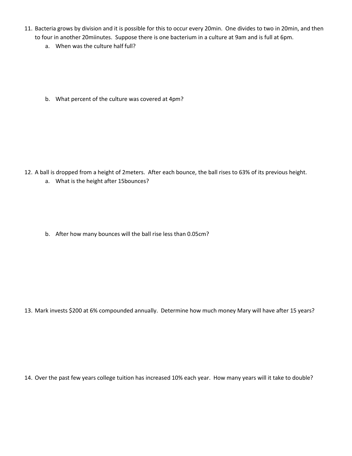- 11. Bacteria grows by division and it is possible for this to occur every 20min. One divides to two in 20min, and then to four in another 20miinutes. Suppose there is one bacterium in a culture at 9am and is full at 6pm.
	- a. When was the culture half full?
	- b. What percent of the culture was covered at 4pm?

12. A ball is dropped from a height of 2meters. After each bounce, the ball rises to 63% of its previous height. a. What is the height after 15bounces?

b. After how many bounces will the ball rise less than 0.05cm?

13. Mark invests \$200 at 6% compounded annually. Determine how much money Mary will have after 15 years?

14. Over the past few years college tuition has increased 10% each year. How many years will it take to double?